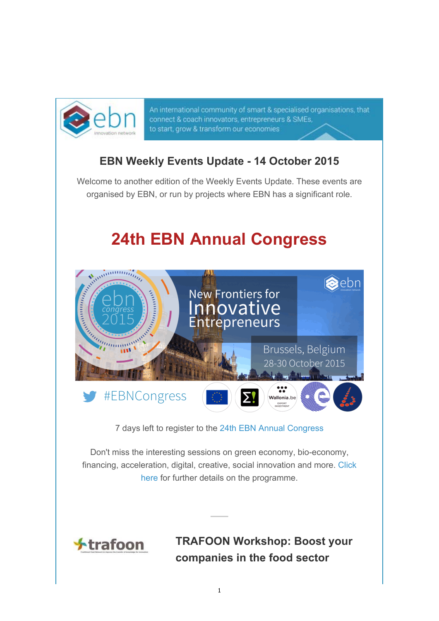

An international community of smart & specialised organisations, that connect & coach innovators, entrepreneurs & SMEs, to start, grow & transform our economies

# **EBN Weekly Events Update - 14 October 2015**

Welcome to another edition of the Weekly Events Update. These events are organised by EBN, or run by projects where EBN has a significant role.

# **24th EBN Annual Congress**



7 days left to register to the 24th EBN Annual Congress

Don't miss the interesting sessions on green economy, bio-economy, financing, acceleration, digital, creative, social innovation and more. Click here for further details on the programme.



**TRAFOON Workshop: Boost your companies in the food sector**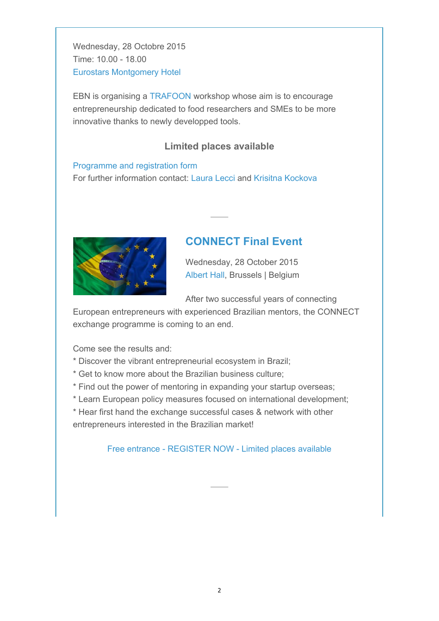Wednesday, 28 Octobre 2015 Time: 10.00 - 18.00 Eurostars Montgomery Hotel

EBN is organising a TRAFOON workshop whose aim is to encourage entrepreneurship dedicated to food researchers and SMEs to be more innovative thanks to newly developped tools.

### **Limited places available**

Programme and registration form For further information contact: Laura Lecci and Krisitna Kockova



## **CONNECT Final Event**

Wednesday, 28 October 2015 Albert Hall, Brussels | Belgium

After two successful years of connecting

European entrepreneurs with experienced Brazilian mentors, the CONNECT exchange programme is coming to an end.

Come see the results and:

- \* Discover the vibrant entrepreneurial ecosystem in Brazil;
- \* Get to know more about the Brazilian business culture;
- \* Find out the power of mentoring in expanding your startup overseas;
- \* Learn European policy measures focused on international development;
- \* Hear first hand the exchange successful cases & network with other entrepreneurs interested in the Brazilian market!

Free entrance - REGISTER NOW - Limited places available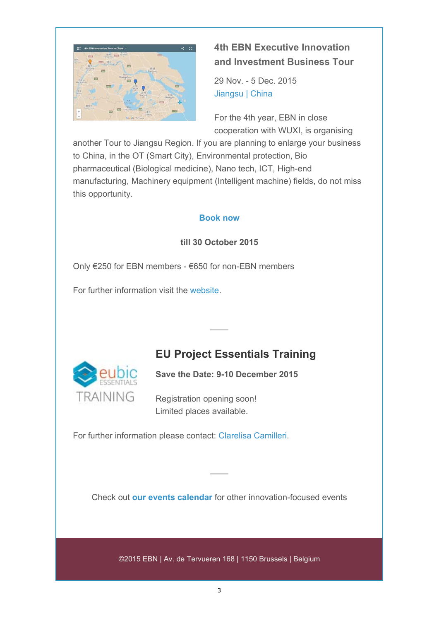

## **4th EBN Executive Innovation and Investment Business Tour**

29 Nov. - 5 Dec. 2015 Jiangsu | China

For the 4th year, EBN in close cooperation with WUXI, is organising

another Tour to Jiangsu Region. If you are planning to enlarge your business to China, in the OT (Smart City), Environmental protection, Bio pharmaceutical (Biological medicine), Nano tech, ICT, High-end manufacturing, Machinery equipment (Intelligent machine) fields, do not miss this opportunity.

#### **Book now**

#### **till 30 October 2015**

Only €250 for EBN members - €650 for non-EBN members

For further information visit the website.

# **EU Project Essentials Training**



**Save the Date: 9-10 December 2015**

Registration opening soon! Limited places available.

For further information please contact: Clarelisa Camilleri.

Check out **our events calendar** for other innovation-focused events

©2015 EBN | Av. de Tervueren 168 | 1150 Brussels | Belgium